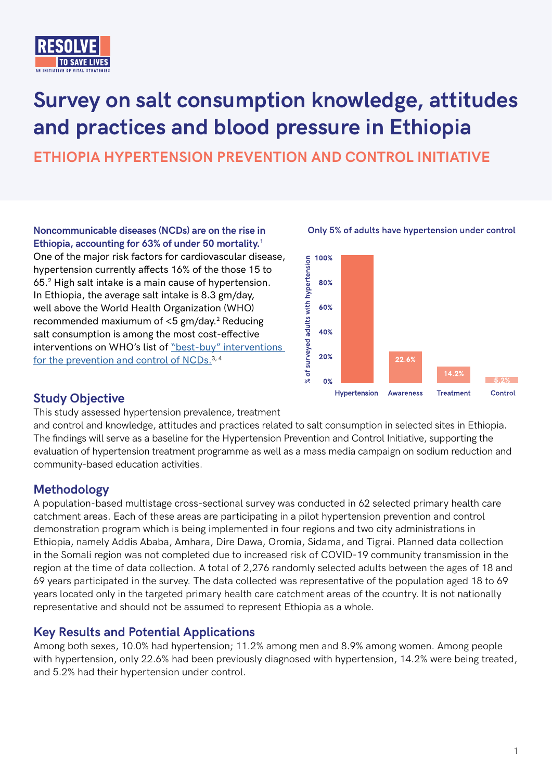

# **Survey on salt consumption knowledge, attitudes and practices and blood pressure in Ethiopia**

**ETHIOPIA HYPERTENSION PREVENTION AND CONTROL INITIATIVE**

**Noncommunicable diseases (NCDs) are on the rise in Ethiopia, accounting for 63% of under 50 mortality.1** One of the major risk factors for cardiovascular disease, hypertension currently affects 16% of the those 15 to 65.<sup>2</sup> High salt intake is a main cause of hypertension. In Ethiopia, the average salt intake is 8.3 gm/day, well above the World Health Organization (WHO) recommended maxiumum of  $<$ 5 gm/day.<sup>2</sup> Reducing salt consumption is among the most cost-effective interventions on WHO's list of "best-buy" interventions [for the prevention and control of NCDs.](https://www.who.int/nmh/publications/best_buys_summary.pdf)<sup>3,4</sup>



Only 5% of adults have hypertension under control

## **Study Objective**

This study assessed hypertension prevalence, treatment

and control and knowledge, attitudes and practices related to salt consumption in selected sites in Ethiopia. The findings will serve as a baseline for the Hypertension Prevention and Control Initiative, supporting the evaluation of hypertension treatment programme as well as a mass media campaign on sodium reduction and community-based education activities.

## **Methodology**

A population-based multistage cross-sectional survey was conducted in 62 selected primary health care catchment areas. Each of these areas are participating in a pilot hypertension prevention and control demonstration program which is being implemented in four regions and two city administrations in Ethiopia, namely Addis Ababa, Amhara, Dire Dawa, Oromia, Sidama, and Tigrai. Planned data collection in the Somali region was not completed due to increased risk of COVID-19 community transmission in the region at the time of data collection. A total of 2,276 randomly selected adults between the ages of 18 and 69 years participated in the survey. The data collected was representative of the population aged 18 to 69 years located only in the targeted primary health care catchment areas of the country. It is not nationally representative and should not be assumed to represent Ethiopia as a whole.

## **Key Results and Potential Applications**

Among both sexes, 10.0% had hypertension; 11.2% among men and 8.9% among women. Among people with hypertension, only 22.6% had been previously diagnosed with hypertension, 14.2% were being treated, and 5.2% had their hypertension under control.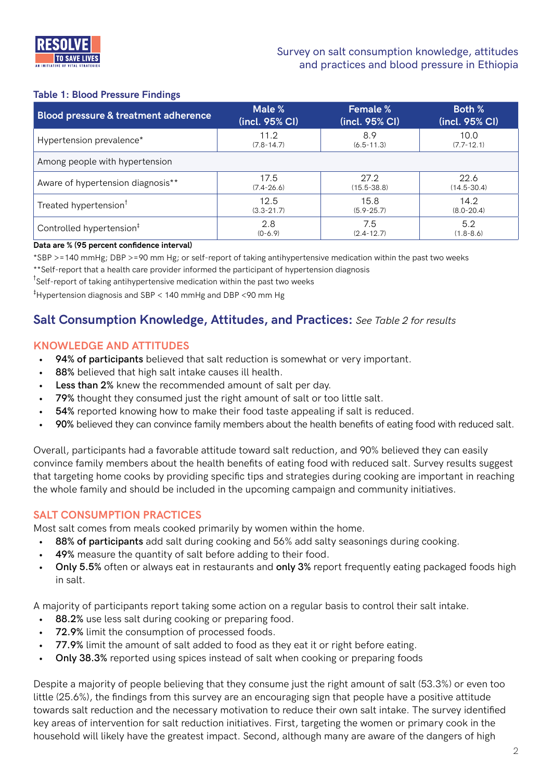

### **Table 1: Blood Pressure Findings**

| Blood pressure & treatment adherence | Male %         | <b>Female %</b> | <b>Both %</b>   |  |  |
|--------------------------------------|----------------|-----------------|-----------------|--|--|
|                                      | (incl. 95% CI) | (incl. 95% CI)  | (incl. 95% CI)  |  |  |
| Hypertension prevalence*             | 11.2           | 8.9             | 10.0            |  |  |
|                                      | $(7.8 - 14.7)$ | $(6.5 - 11.3)$  | $(7.7 - 12.1)$  |  |  |
| Among people with hypertension       |                |                 |                 |  |  |
| Aware of hypertension diagnosis**    | 17.5           | 27.2            | 22.6            |  |  |
|                                      | $(7.4 - 26.6)$ | $(15.5 - 38.8)$ | $(14.5 - 30.4)$ |  |  |
| Treated hypertension <sup>†</sup>    | 12.5           | 15.8            | 14.2            |  |  |
|                                      | $(3.3 - 21.7)$ | $(5.9 - 25.7)$  | $(8.0 - 20.4)$  |  |  |
| Controlled hypertension <sup>#</sup> | 2.8            | 7.5             | 5.2             |  |  |
|                                      | $(0-6.9)$      | $(2.4 - 12.7)$  | $(1.8 - 8.6)$   |  |  |

#### **Data are % (95 percent confidence interval)**

\*SBP >=140 mmHg; DBP >=90 mm Hg; or self-report of taking antihypertensive medication within the past two weeks \*\*Self-report that a health care provider informed the participant of hypertension diagnosis

<sup>†</sup>Self-report of taking antihypertensive medication within the past two weeks

‡ Hypertension diagnosis and SBP < 140 mmHg and DBP <90 mm Hg

## **Salt Consumption Knowledge, Attitudes, and Practices:** *See Table 2 for results*

#### **KNOWLEDGE AND ATTITUDES**

- **• 94% of participants** believed that salt reduction is somewhat or very important.
- **• 88%** believed that high salt intake causes ill health.
- **• Less than 2%** knew the recommended amount of salt per day.
- **• 79%** thought they consumed just the right amount of salt or too little salt.
- **• 54%** reported knowing how to make their food taste appealing if salt is reduced.
- **• 90%** believed they can convince family members about the health benefits of eating food with reduced salt.

Overall, participants had a favorable attitude toward salt reduction, and 90% believed they can easily convince family members about the health benefits of eating food with reduced salt. Survey results suggest that targeting home cooks by providing specific tips and strategies during cooking are important in reaching the whole family and should be included in the upcoming campaign and community initiatives.

#### **SALT CONSUMPTION PRACTICES**

Most salt comes from meals cooked primarily by women within the home.

- **• 88% of participants** add salt during cooking and 56% add salty seasonings during cooking.
- **• 49%** measure the quantity of salt before adding to their food.
- **• Only 5.5%** often or always eat in restaurants and **only 3%** report frequently eating packaged foods high in salt.

A majority of participants report taking some action on a regular basis to control their salt intake.

- **• 88.2%** use less salt during cooking or preparing food.
- **• 72.9%** limit the consumption of processed foods.
- **• 77.9%** limit the amount of salt added to food as they eat it or right before eating.
- **• Only 38.3%** reported using spices instead of salt when cooking or preparing foods

Despite a majority of people believing that they consume just the right amount of salt (53.3%) or even too little (25.6%), the findings from this survey are an encouraging sign that people have a positive attitude towards salt reduction and the necessary motivation to reduce their own salt intake. The survey identified key areas of intervention for salt reduction initiatives. First, targeting the women or primary cook in the household will likely have the greatest impact. Second, although many are aware of the dangers of high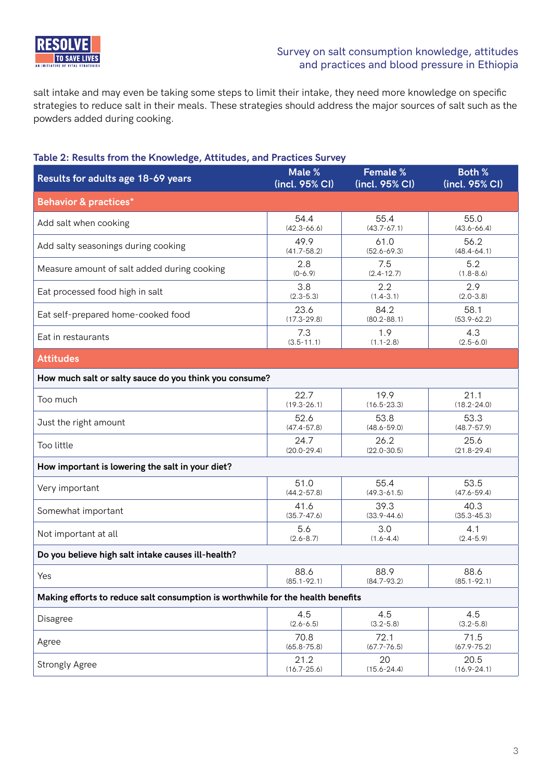

salt intake and may even be taking some steps to limit their intake, they need more knowledge on specific strategies to reduce salt in their meals. These strategies should address the major sources of salt such as the powders added during cooking.

## **Table 2: Results from the Knowledge, Attitudes, and Practices Survey**

| Results for adults age 18-69 years                                              | Male %          | Female %        | <b>Both %</b>   |  |  |
|---------------------------------------------------------------------------------|-----------------|-----------------|-----------------|--|--|
|                                                                                 | (incl. 95% CI)  | (incl. 95% CI)  | (incl. 95% CI)  |  |  |
| <b>Behavior &amp; practices*</b>                                                |                 |                 |                 |  |  |
| Add salt when cooking                                                           | 54.4            | 55.4            | 55.0            |  |  |
|                                                                                 | $(42.3 - 66.6)$ | $(43.7 - 67.1)$ | $(43.6 - 66.4)$ |  |  |
| Add salty seasonings during cooking                                             | 49.9            | 61.0            | 56.2            |  |  |
|                                                                                 | $(41.7 - 58.2)$ | $(52.6 - 69.3)$ | $(48.4 - 64.1)$ |  |  |
| Measure amount of salt added during cooking                                     | 2.8             | 7.5             | 5.2             |  |  |
|                                                                                 | $(0-6.9)$       | $(2.4 - 12.7)$  | $(1.8 - 8.6)$   |  |  |
| Eat processed food high in salt                                                 | 3.8             | 2.2             | 2.9             |  |  |
|                                                                                 | $(2.3 - 5.3)$   | $(1.4 - 3.1)$   | $(2.0 - 3.8)$   |  |  |
| Eat self-prepared home-cooked food                                              | 23.6            | 84.2            | 58.1            |  |  |
|                                                                                 | $(17.3 - 29.8)$ | $(80.2 - 88.1)$ | $(53.9 - 62.2)$ |  |  |
| Eat in restaurants                                                              | 7.3             | 1.9             | 4.3             |  |  |
|                                                                                 | $(3.5 - 11.1)$  | $(1.1 - 2.8)$   | $(2.5 - 6.0)$   |  |  |
| <b>Attitudes</b>                                                                |                 |                 |                 |  |  |
| How much salt or salty sauce do you think you consume?                          |                 |                 |                 |  |  |
| Too much                                                                        | 22.7            | 19.9            | 21.1            |  |  |
|                                                                                 | $(19.3 - 26.1)$ | $(16.5 - 23.3)$ | $(18.2 - 24.0)$ |  |  |
| Just the right amount                                                           | 52.6            | 53.8            | 53.3            |  |  |
|                                                                                 | $(47.4 - 57.8)$ | $(48.6 - 59.0)$ | $(48.7 - 57.9)$ |  |  |
| Too little                                                                      | 24.7            | 26.2            | 25.6            |  |  |
|                                                                                 | $(20.0 - 29.4)$ | $(22.0 - 30.5)$ | $(21.8 - 29.4)$ |  |  |
| How important is lowering the salt in your diet?                                |                 |                 |                 |  |  |
| Very important                                                                  | 51.0            | 55.4            | 53.5            |  |  |
|                                                                                 | $(44.2 - 57.8)$ | $(49.3 - 61.5)$ | $(47.6 - 59.4)$ |  |  |
| Somewhat important                                                              | 41.6            | 39.3            | 40.3            |  |  |
|                                                                                 | $(35.7 - 47.6)$ | $(33.9 - 44.6)$ | $(35.3 - 45.3)$ |  |  |
| Not important at all                                                            | 5.6             | 3.0             | 4.1             |  |  |
|                                                                                 | $(2.6 - 8.7)$   | $(1.6 - 4.4)$   | $(2.4 - 5.9)$   |  |  |
| Do you believe high salt intake causes ill-health?                              |                 |                 |                 |  |  |
| Yes                                                                             | 88.6            | 88.9            | 88.6            |  |  |
|                                                                                 | $(85.1 - 92.1)$ | $(84.7 - 93.2)$ | $(85.1 - 92.1)$ |  |  |
| Making efforts to reduce salt consumption is worthwhile for the health benefits |                 |                 |                 |  |  |
| Disagree                                                                        | 4.5             | 4.5             | 4.5             |  |  |
|                                                                                 | $(2.6 - 6.5)$   | $(3.2 - 5.8)$   | $(3.2 - 5.8)$   |  |  |
| Agree                                                                           | 70.8            | 72.1            | 71.5            |  |  |
|                                                                                 | $(65.8 - 75.8)$ | $(67.7 - 76.5)$ | $(67.9 - 75.2)$ |  |  |
| <b>Strongly Agree</b>                                                           | 21.2            | 20              | 20.5            |  |  |
|                                                                                 | $(16.7 - 25.6)$ | $(15.6 - 24.4)$ | $(16.9 - 24.1)$ |  |  |